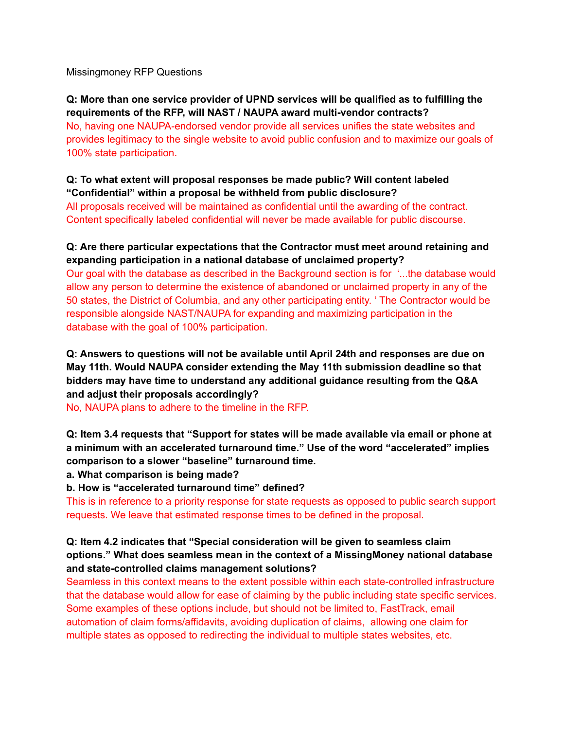Missingmoney RFP Questions

## **Q: More than one service provider of UPND services will be qualified as to fulfilling the requirements of the RFP, will NAST / NAUPA award multi-vendor contracts?** No, having one NAUPA-endorsed vendor provide all services unifies the state websites and provides legitimacy to the single website to avoid public confusion and to maximize our goals of 100% state participation.

### **Q: To what extent will proposal responses be made public? Will content labeled "Confidential" within a proposal be withheld from public disclosure?**

All proposals received will be maintained as confidential until the awarding of the contract. Content specifically labeled confidential will never be made available for public discourse.

## **Q: Are there particular expectations that the Contractor must meet around retaining and expanding participation in a national database of unclaimed property?**

Our goal with the database as described in the Background section is for '...the database would allow any person to determine the existence of abandoned or unclaimed property in any of the 50 states, the District of Columbia, and any other participating entity. ' The Contractor would be responsible alongside NAST/NAUPA for expanding and maximizing participation in the database with the goal of 100% participation.

### **Q: Answers to questions will not be available until April 24th and responses are due on May 11th. Would NAUPA consider extending the May 11th submission deadline so that bidders may have time to understand any additional guidance resulting from the Q&A and adjust their proposals accordingly?**

No, NAUPA plans to adhere to the timeline in the RFP.

**Q: Item 3.4 requests that "Support for states will be made available via email or phone at a minimum with an accelerated turnaround time." Use of the word "accelerated" implies comparison to a slower "baseline" turnaround time.**

**a. What comparison is being made?**

**b. How is "accelerated turnaround time" defined?**

This is in reference to a priority response for state requests as opposed to public search support requests. We leave that estimated response times to be defined in the proposal.

#### **Q: Item 4.2 indicates that "Special consideration will be given to seamless claim options." What does seamless mean in the context of a MissingMoney national database and state-controlled claims management solutions?**

Seamless in this context means to the extent possible within each state-controlled infrastructure that the database would allow for ease of claiming by the public including state specific services. Some examples of these options include, but should not be limited to, FastTrack, email automation of claim forms/affidavits, avoiding duplication of claims, allowing one claim for multiple states as opposed to redirecting the individual to multiple states websites, etc.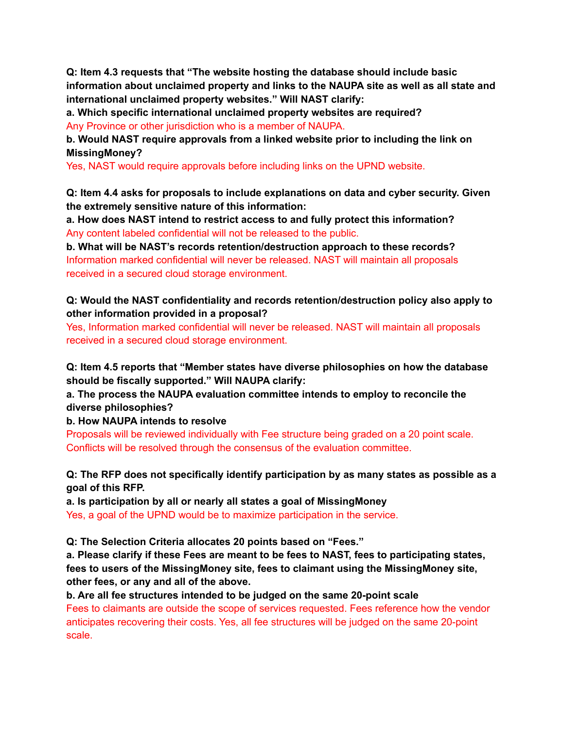**Q: Item 4.3 requests that "The website hosting the database should include basic information about unclaimed property and links to the NAUPA site as well as all state and international unclaimed property websites." Will NAST clarify:**

**a. Which specific international unclaimed property websites are required?** Any Province or other jurisdiction who is a member of NAUPA.

**b. Would NAST require approvals from a linked website prior to including the link on MissingMoney?**

Yes, NAST would require approvals before including links on the UPND website.

**Q: Item 4.4 asks for proposals to include explanations on data and cyber security. Given the extremely sensitive nature of this information:**

**a. How does NAST intend to restrict access to and fully protect this information?** Any content labeled confidential will not be released to the public.

**b. What will be NAST's records retention/destruction approach to these records?** Information marked confidential will never be released. NAST will maintain all proposals received in a secured cloud storage environment.

**Q: Would the NAST confidentiality and records retention/destruction policy also apply to other information provided in a proposal?**

Yes, Information marked confidential will never be released. NAST will maintain all proposals received in a secured cloud storage environment.

**Q: Item 4.5 reports that "Member states have diverse philosophies on how the database should be fiscally supported." Will NAUPA clarify:**

**a. The process the NAUPA evaluation committee intends to employ to reconcile the diverse philosophies?**

**b. How NAUPA intends to resolve**

Proposals will be reviewed individually with Fee structure being graded on a 20 point scale. Conflicts will be resolved through the consensus of the evaluation committee.

**Q: The RFP does not specifically identify participation by as many states as possible as a goal of this RFP.**

**a. Is participation by all or nearly all states a goal of MissingMoney** Yes, a goal of the UPND would be to maximize participation in the service.

**Q: The Selection Criteria allocates 20 points based on "Fees."**

**a. Please clarify if these Fees are meant to be fees to NAST, fees to participating states, fees to users of the MissingMoney site, fees to claimant using the MissingMoney site, other fees, or any and all of the above.**

**b. Are all fee structures intended to be judged on the same 20-point scale** Fees to claimants are outside the scope of services requested. Fees reference how the vendor anticipates recovering their costs. Yes, all fee structures will be judged on the same 20-point scale.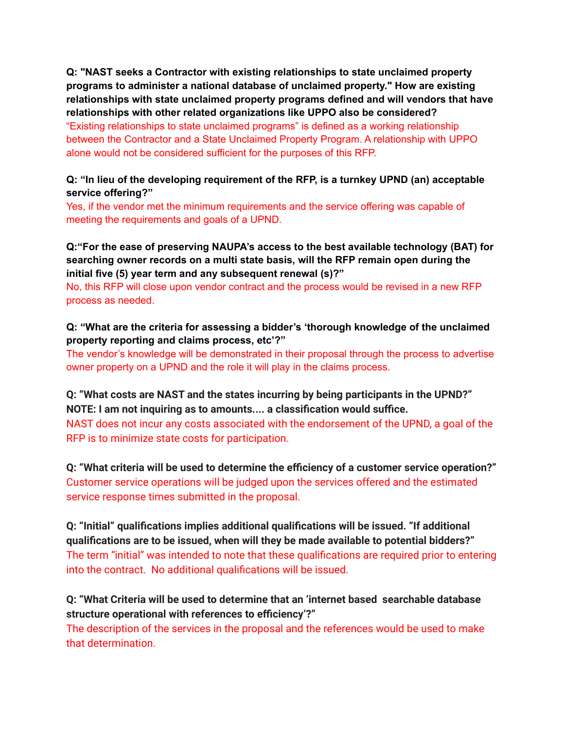**Q: "NAST seeks a Contractor with existing relationships to state unclaimed property programs to administer a national database of unclaimed property." How are existing relationships with state unclaimed property programs defined and will vendors that have relationships with other related organizations like UPPO also be considered?** "Existing relationships to state unclaimed programs" is defined as a working relationship between the Contractor and a State Unclaimed Property Program. A relationship with UPPO alone would not be considered sufficient for the purposes of this RFP.

### **Q: "In lieu of the developing requirement of the RFP, is a turnkey UPND (an) acceptable service offering?"**

Yes, if the vendor met the minimum requirements and the service offering was capable of meeting the requirements and goals of a UPND.

#### **Q:"For the ease of preserving NAUPA's access to the best available technology (BAT) for searching owner records on a multi state basis, will the RFP remain open during the initial five (5) year term and any subsequent renewal (s)?"**

No, this RFP will close upon vendor contract and the process would be revised in a new RFP process as needed.

## **Q: "What are the criteria for assessing a bidder's 'thorough knowledge of the unclaimed property reporting and claims process, etc'?"**

The vendor's knowledge will be demonstrated in their proposal through the process to advertise owner property on a UPND and the role it will play in the claims process.

**Q: "What costs are NAST and the states incurring by being participants in the UPND?" NOTE: I am not inquiring as to amounts.... a classification would suffice.** NAST does not incur any costs associated with the endorsement of the UPND, a goal of the RFP is to minimize state costs for participation.

**Q: "What criteria will be used to determine the efficiency of a customer service operation?"** Customer service operations will be judged upon the services offered and the estimated service response times submitted in the proposal.

**Q: "Initial" qualifications implies additional qualifications will be issued. "If additional qualifications are to be issued, when will they be made available to potential bidders?"** The term "initial" was intended to note that these qualifications are required prior to entering into the contract. No additional qualifications will be issued.

**Q: "What Criteria will be used to determine that an 'internet based searchable database structure operational with references to efficiency'?"**

The description of the services in the proposal and the references would be used to make that determination.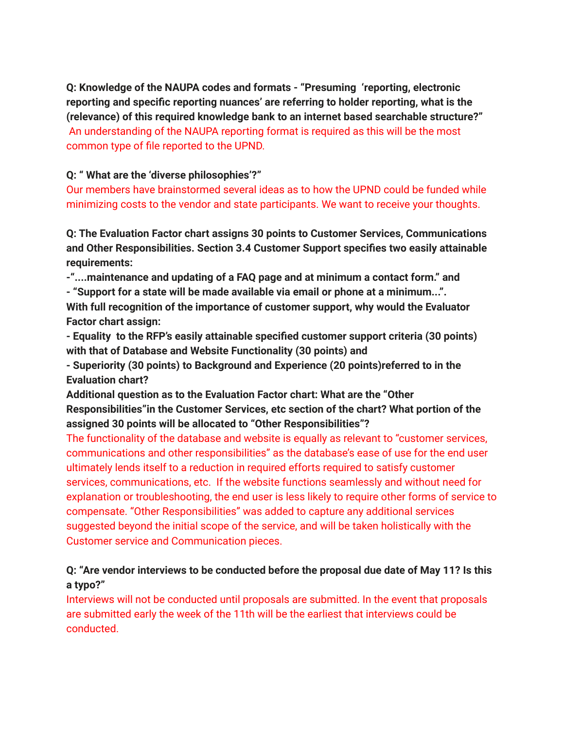**Q: Knowledge of the NAUPA codes and formats - "Presuming 'reporting, electronic reporting and specific reporting nuances' are referring to holder reporting, what is the (relevance) of this required knowledge bank to an internet based searchable structure?"** An understanding of the NAUPA reporting format is required as this will be the most common type of file reported to the UPND.

# **Q: " What are the 'diverse philosophies'?"**

Our members have brainstormed several ideas as to how the UPND could be funded while minimizing costs to the vendor and state participants. We want to receive your thoughts.

**Q: The Evaluation Factor chart assigns 30 points to Customer Services, Communications and Other Responsibilities. Section 3.4 Customer Support specifies two easily attainable requirements:**

**-"....maintenance and updating of a FAQ page and at minimum a contact form." and**

**- "Support for a state will be made available via email or phone at a minimum...". With full recognition of the importance of customer support, why would the Evaluator Factor chart assign:**

**- Equality to the RFP's easily attainable specified customer support criteria (30 points) with that of Database and Website Functionality (30 points) and**

**- Superiority (30 points) to Background and Experience (20 points)referred to in the Evaluation chart?**

**Additional question as to the Evaluation Factor chart: What are the "Other Responsibilities"in the Customer Services, etc section of the chart? What portion of the assigned 30 points will be allocated to "Other Responsibilities"?**

The functionality of the database and website is equally as relevant to "customer services, communications and other responsibilities" as the database's ease of use for the end user ultimately lends itself to a reduction in required efforts required to satisfy customer services, communications, etc. If the website functions seamlessly and without need for explanation or troubleshooting, the end user is less likely to require other forms of service to compensate. "Other Responsibilities" was added to capture any additional services suggested beyond the initial scope of the service, and will be taken holistically with the Customer service and Communication pieces.

# **Q: "Are vendor interviews to be conducted before the proposal due date of May 11? Is this a typo?"**

Interviews will not be conducted until proposals are submitted. In the event that proposals are submitted early the week of the 11th will be the earliest that interviews could be conducted.